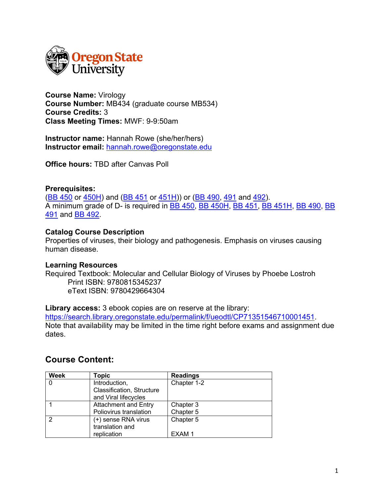

**Course Name:** Virology **Course Number:** MB434 (graduate course MB534) **Course Credits:** 3 **Class Meeting Times:** MWF: 9-9:50am

**Instructor name:** Hannah Rowe (she/her/hers) **Instructor email:** hannah.rowe@oregonstate.edu

**Office hours:** TBD after Canvas Poll

### **Prerequisites:**

(BB 450 or 450H) and (BB 451 or 451H)) or (BB 490, 491 and 492). A minimum grade of D- is required in **BB 450, BB 450H, BB 451, BB 451H, BB 490, BB** 491 and BB 492.

### **Catalog Course Description**

Properties of viruses, their biology and pathogenesis. Emphasis on viruses causing human disease.

### **Learning Resources**

Required Textbook: Molecular and Cellular Biology of Viruses by Phoebe Lostroh Print ISBN: 9780815345237 eText ISBN: 9780429664304

**Library access:** 3 ebook copies are on reserve at the library: https://search.library.oregonstate.edu/permalink/f/ueodtl/CP71351546710001451. Note that availability may be limited in the time right before exams and assignment due dates.

# **Course Content:**

| <b>Week</b> | <b>Topic</b>                | <b>Readings</b> |
|-------------|-----------------------------|-----------------|
|             | Introduction,               | Chapter 1-2     |
|             | Classification, Structure   |                 |
|             | and Viral lifecycles        |                 |
|             | <b>Attachment and Entry</b> | Chapter 3       |
|             | Poliovirus translation      | Chapter 5       |
| っ           | (+) sense RNA virus         | Chapter 5       |
|             | translation and             |                 |
|             | replication                 | EXAM 1          |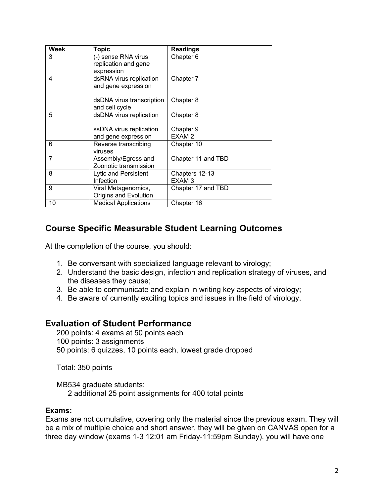| <b>Week</b> | <b>Topic</b>                | <b>Readings</b>    |
|-------------|-----------------------------|--------------------|
| 3           | (-) sense RNA virus         | Chapter 6          |
|             | replication and gene        |                    |
|             | expression                  |                    |
| 4           | dsRNA virus replication     | Chapter 7          |
|             | and gene expression         |                    |
|             | dsDNA virus transcription   | Chapter 8          |
|             | and cell cycle              |                    |
| 5           | dsDNA virus replication     | Chapter 8          |
|             |                             |                    |
|             | ssDNA virus replication     | Chapter 9          |
|             | and gene expression         | EXAM <sub>2</sub>  |
| 6           | Reverse transcribing        | Chapter 10         |
|             | viruses                     |                    |
| 7           | Assembly/Egress and         | Chapter 11 and TBD |
|             | Zoonotic transmission       |                    |
| 8           | Lytic and Persistent        | Chapters 12-13     |
|             | Infection                   | EXAM <sub>3</sub>  |
| 9           | Viral Metagenomics,         | Chapter 17 and TBD |
|             | Origins and Evolution       |                    |
| 10          | <b>Medical Applications</b> | Chapter 16         |

# **Course Specific Measurable Student Learning Outcomes**

At the completion of the course, you should:

- 1. Be conversant with specialized language relevant to virology;
- 2. Understand the basic design, infection and replication strategy of viruses, and the diseases they cause;
- 3. Be able to communicate and explain in writing key aspects of virology;
- 4. Be aware of currently exciting topics and issues in the field of virology.

### **Evaluation of Student Performance**

200 points: 4 exams at 50 points each 100 points: 3 assignments 50 points: 6 quizzes, 10 points each, lowest grade dropped

Total: 350 points

MB534 graduate students: 2 additional 25 point assignments for 400 total points

### **Exams:**

Exams are not cumulative, covering only the material since the previous exam. They will be a mix of multiple choice and short answer, they will be given on CANVAS open for a three day window (exams 1-3 12:01 am Friday-11:59pm Sunday), you will have one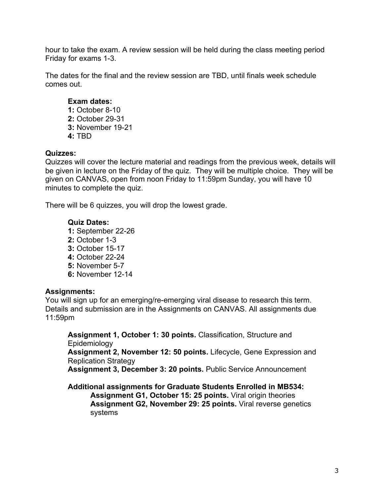hour to take the exam. A review session will be held during the class meeting period Friday for exams 1-3.

The dates for the final and the review session are TBD, until finals week schedule comes out.

### **Exam dates:**

**1:** October 8-10 **2:** October 29-31 **3:** November 19-21 **4:** TBD

### **Quizzes:**

Quizzes will cover the lecture material and readings from the previous week, details will be given in lecture on the Friday of the quiz. They will be multiple choice. They will be given on CANVAS, open from noon Friday to 11:59pm Sunday, you will have 10 minutes to complete the quiz.

There will be 6 quizzes, you will drop the lowest grade.

### **Quiz Dates:**

**1:** September 22-26 **2:** October 1-3 **3:** October 15-17 **4:** October 22-24 **5:** November 5-7 **6:** November 12-14

### **Assignments:**

You will sign up for an emerging/re-emerging viral disease to research this term. Details and submission are in the Assignments on CANVAS. All assignments due 11:59pm

**Assignment 1, October 1: 30 points.** Classification, Structure and **Epidemiology** 

**Assignment 2, November 12: 50 points.** Lifecycle, Gene Expression and Replication Strategy

**Assignment 3, December 3: 20 points.** Public Service Announcement

**Additional assignments for Graduate Students Enrolled in MB534:**

**Assignment G1, October 15: 25 points.** Viral origin theories **Assignment G2, November 29: 25 points.** Viral reverse genetics systems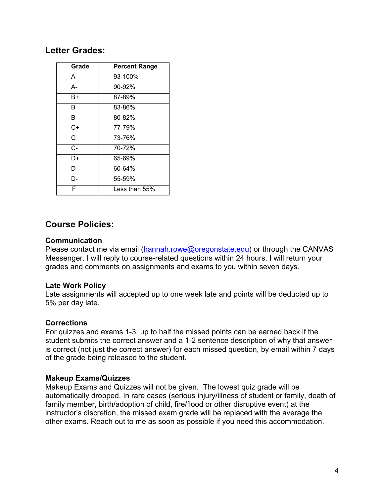## **Letter Grades:**

| Grade                 | <b>Percent Range</b> |
|-----------------------|----------------------|
| A                     | 93-100%              |
| А-                    | 90-92%               |
| B+                    | 87-89%               |
| B                     | 83-86%               |
| B-                    | 80-82%               |
| $C+$                  | 77-79%               |
| $\overline{\text{C}}$ | 73-76%               |
| $C -$                 | 70-72%               |
| D+                    | 65-69%               |
| D                     | 60-64%               |
| D-                    | 55-59%               |
| F                     | Less than $55\%$     |

## **Course Policies:**

### **Communication**

Please contact me via email (hannah.rowe@oregonstate.edu) or through the CANVAS Messenger. I will reply to course-related questions within 24 hours. I will return your grades and comments on assignments and exams to you within seven days.

### **Late Work Policy**

Late assignments will accepted up to one week late and points will be deducted up to 5% per day late.

### **Corrections**

For quizzes and exams 1-3, up to half the missed points can be earned back if the student submits the correct answer and a 1-2 sentence description of why that answer is correct (not just the correct answer) for each missed question, by email within 7 days of the grade being released to the student.

### **Makeup Exams/Quizzes**

Makeup Exams and Quizzes will not be given. The lowest quiz grade will be automatically dropped. In rare cases (serious injury/illness of student or family, death of family member, birth/adoption of child, fire/flood or other disruptive event) at the instructor's discretion, the missed exam grade will be replaced with the average the other exams. Reach out to me as soon as possible if you need this accommodation.